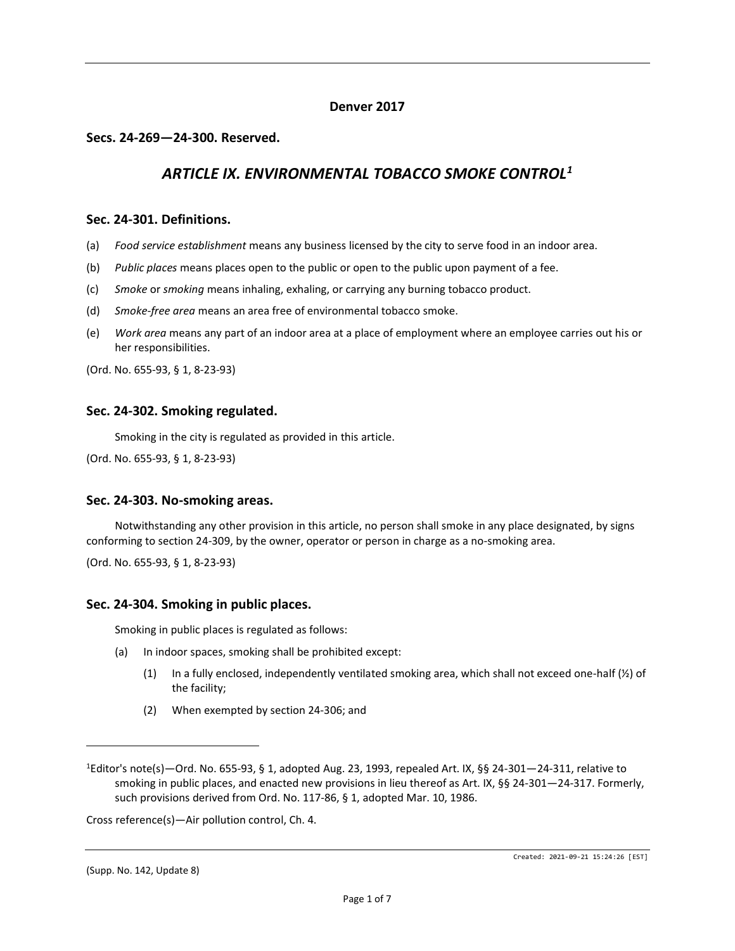# **Denver 2017**

# **Secs. 24-269—24-300. Reserved.**

# *ARTICLE IX. ENVIRONMENTAL TOBACCO SMOKE CONTROL<sup>1</sup>*

### **Sec. 24-301. Definitions.**

- (a) *Food service establishment* means any business licensed by the city to serve food in an indoor area.
- (b) *Public places* means places open to the public or open to the public upon payment of a fee.
- (c) *Smoke* or *smoking* means inhaling, exhaling, or carrying any burning tobacco product.
- (d) *Smoke-free area* means an area free of environmental tobacco smoke.
- (e) *Work area* means any part of an indoor area at a place of employment where an employee carries out his or her responsibilities.

(Ord. No. 655-93, § 1, 8-23-93)

# **Sec. 24-302. Smoking regulated.**

Smoking in the city is regulated as provided in this article.

(Ord. No. 655-93, § 1, 8-23-93)

#### **Sec. 24-303. No-smoking areas.**

Notwithstanding any other provision in this article, no person shall smoke in any place designated, by signs conforming to section 24-309, by the owner, operator or person in charge as a no-smoking area.

(Ord. No. 655-93, § 1, 8-23-93)

# **Sec. 24-304. Smoking in public places.**

Smoking in public places is regulated as follows:

- (a) In indoor spaces, smoking shall be prohibited except:
	- (1) In a fully enclosed, independently ventilated smoking area, which shall not exceed one-half (½) of the facility;
	- (2) When exempted by section 24-306; and

Cross reference(s)—Air pollution control, Ch. 4.

(Supp. No. 142, Update 8)

<sup>1</sup>Editor's note(s)—Ord. No. 655-93, § 1, adopted Aug. 23, 1993, repealed Art. IX, §§ 24-301—24-311, relative to smoking in public places, and enacted new provisions in lieu thereof as Art. IX, §§ 24-301—24-317. Formerly, such provisions derived from Ord. No. 117-86, § 1, adopted Mar. 10, 1986.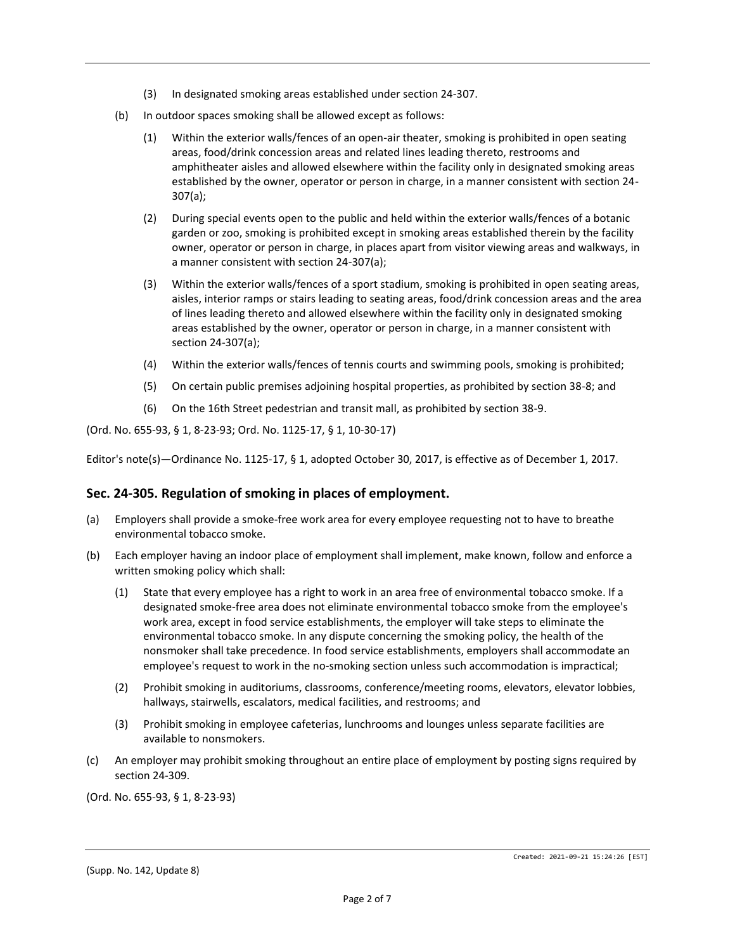- (3) In designated smoking areas established under section 24-307.
- (b) In outdoor spaces smoking shall be allowed except as follows:
	- (1) Within the exterior walls/fences of an open-air theater, smoking is prohibited in open seating areas, food/drink concession areas and related lines leading thereto, restrooms and amphitheater aisles and allowed elsewhere within the facility only in designated smoking areas established by the owner, operator or person in charge, in a manner consistent with section 24- 307(a);
	- (2) During special events open to the public and held within the exterior walls/fences of a botanic garden or zoo, smoking is prohibited except in smoking areas established therein by the facility owner, operator or person in charge, in places apart from visitor viewing areas and walkways, in a manner consistent with section 24-307(a);
	- (3) Within the exterior walls/fences of a sport stadium, smoking is prohibited in open seating areas, aisles, interior ramps or stairs leading to seating areas, food/drink concession areas and the area of lines leading thereto and allowed elsewhere within the facility only in designated smoking areas established by the owner, operator or person in charge, in a manner consistent with section 24-307(a);
	- (4) Within the exterior walls/fences of tennis courts and swimming pools, smoking is prohibited;
	- (5) On certain public premises adjoining hospital properties, as prohibited by section 38-8; and
	- (6) On the 16th Street pedestrian and transit mall, as prohibited by section 38-9.

(Ord. No. 655-93, § 1, 8-23-93; Ord. No. 1125-17, § 1, 10-30-17)

Editor's note(s)—Ordinance No. 1125-17, § 1, adopted October 30, 2017, is effective as of December 1, 2017.

# **Sec. 24-305. Regulation of smoking in places of employment.**

- (a) Employers shall provide a smoke-free work area for every employee requesting not to have to breathe environmental tobacco smoke.
- (b) Each employer having an indoor place of employment shall implement, make known, follow and enforce a written smoking policy which shall:
	- (1) State that every employee has a right to work in an area free of environmental tobacco smoke. If a designated smoke-free area does not eliminate environmental tobacco smoke from the employee's work area, except in food service establishments, the employer will take steps to eliminate the environmental tobacco smoke. In any dispute concerning the smoking policy, the health of the nonsmoker shall take precedence. In food service establishments, employers shall accommodate an employee's request to work in the no-smoking section unless such accommodation is impractical;
	- (2) Prohibit smoking in auditoriums, classrooms, conference/meeting rooms, elevators, elevator lobbies, hallways, stairwells, escalators, medical facilities, and restrooms; and
	- (3) Prohibit smoking in employee cafeterias, lunchrooms and lounges unless separate facilities are available to nonsmokers.
- (c) An employer may prohibit smoking throughout an entire place of employment by posting signs required by section 24-309.

(Ord. No. 655-93, § 1, 8-23-93)

<sup>(</sup>Supp. No. 142, Update 8)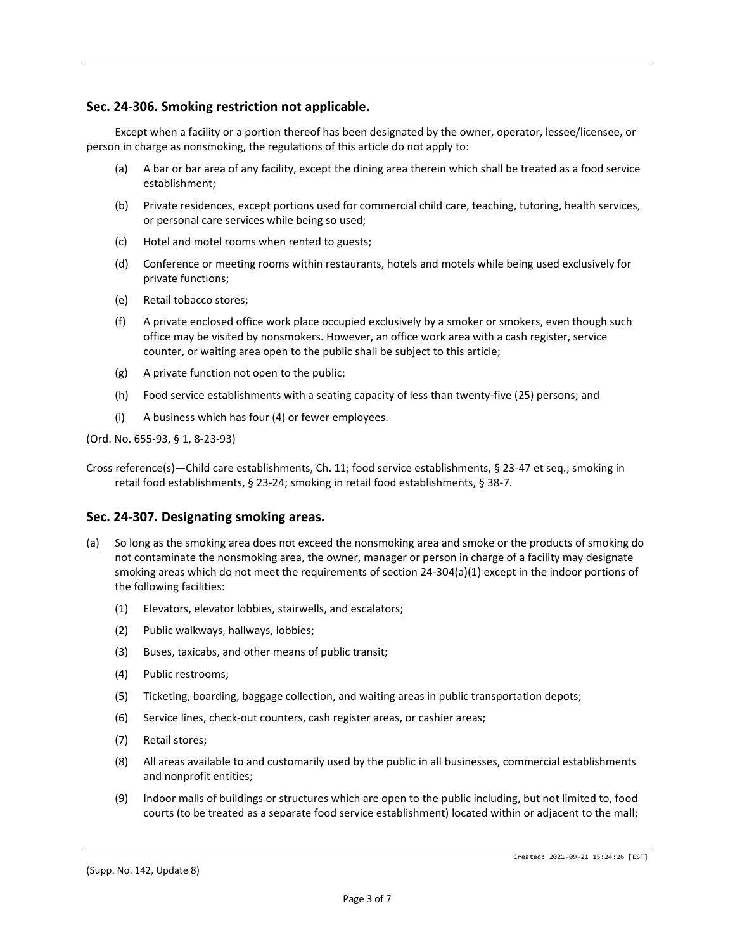# **Sec. 24-306. Smoking restriction not applicable.**

Except when a facility or a portion thereof has been designated by the owner, operator, lessee/licensee, or person in charge as nonsmoking, the regulations of this article do not apply to:

- (a) A bar or bar area of any facility, except the dining area therein which shall be treated as a food service establishment;
- (b) Private residences, except portions used for commercial child care, teaching, tutoring, health services, or personal care services while being so used;
- (c) Hotel and motel rooms when rented to guests;
- (d) Conference or meeting rooms within restaurants, hotels and motels while being used exclusively for private functions;
- (e) Retail tobacco stores;
- (f) A private enclosed office work place occupied exclusively by a smoker or smokers, even though such office may be visited by nonsmokers. However, an office work area with a cash register, service counter, or waiting area open to the public shall be subject to this article;
- (g) A private function not open to the public;
- (h) Food service establishments with a seating capacity of less than twenty-five (25) persons; and
- (i) A business which has four (4) or fewer employees.

(Ord. No. 655-93, § 1, 8-23-93)

Cross reference(s)—Child care establishments, Ch. 11; food service establishments, § 23-47 et seq.; smoking in retail food establishments, § 23-24; smoking in retail food establishments, § 38-7.

#### **Sec. 24-307. Designating smoking areas.**

- (a) So long as the smoking area does not exceed the nonsmoking area and smoke or the products of smoking do not contaminate the nonsmoking area, the owner, manager or person in charge of a facility may designate smoking areas which do not meet the requirements of section 24-304(a)(1) except in the indoor portions of the following facilities:
	- (1) Elevators, elevator lobbies, stairwells, and escalators;
	- (2) Public walkways, hallways, lobbies;
	- (3) Buses, taxicabs, and other means of public transit;
	- (4) Public restrooms;
	- (5) Ticketing, boarding, baggage collection, and waiting areas in public transportation depots;
	- (6) Service lines, check-out counters, cash register areas, or cashier areas;
	- (7) Retail stores;
	- (8) All areas available to and customarily used by the public in all businesses, commercial establishments and nonprofit entities;
	- (9) Indoor malls of buildings or structures which are open to the public including, but not limited to, food courts (to be treated as a separate food service establishment) located within or adjacent to the mall;

(Supp. No. 142, Update 8)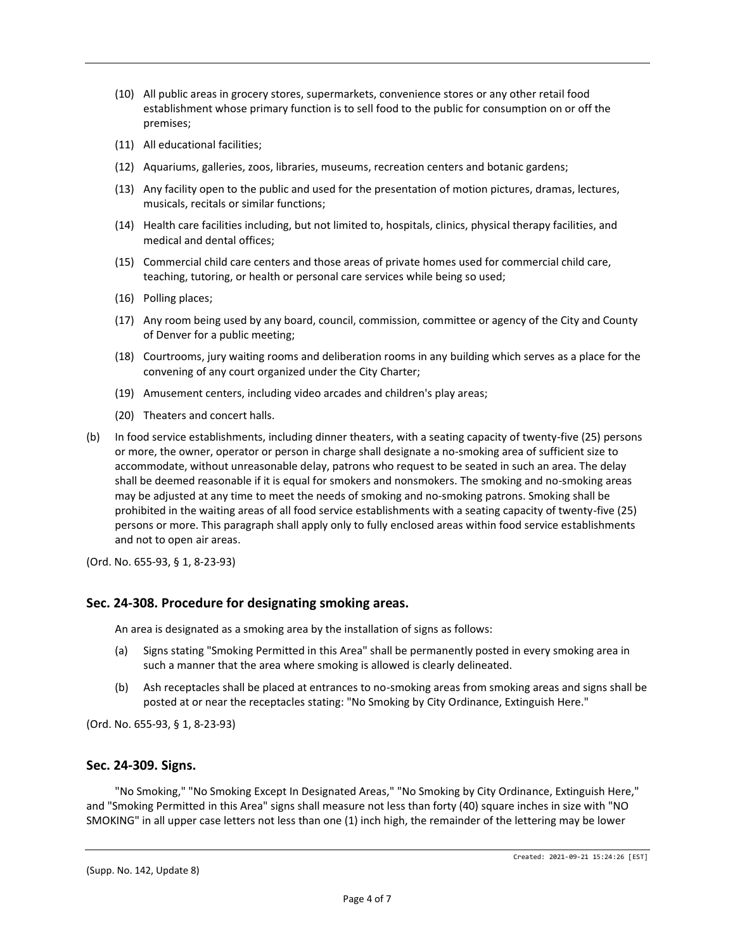- (10) All public areas in grocery stores, supermarkets, convenience stores or any other retail food establishment whose primary function is to sell food to the public for consumption on or off the premises;
- (11) All educational facilities;
- (12) Aquariums, galleries, zoos, libraries, museums, recreation centers and botanic gardens;
- (13) Any facility open to the public and used for the presentation of motion pictures, dramas, lectures, musicals, recitals or similar functions;
- (14) Health care facilities including, but not limited to, hospitals, clinics, physical therapy facilities, and medical and dental offices;
- (15) Commercial child care centers and those areas of private homes used for commercial child care, teaching, tutoring, or health or personal care services while being so used;
- (16) Polling places;
- (17) Any room being used by any board, council, commission, committee or agency of the City and County of Denver for a public meeting;
- (18) Courtrooms, jury waiting rooms and deliberation rooms in any building which serves as a place for the convening of any court organized under the City Charter;
- (19) Amusement centers, including video arcades and children's play areas;
- (20) Theaters and concert halls.
- (b) In food service establishments, including dinner theaters, with a seating capacity of twenty-five (25) persons or more, the owner, operator or person in charge shall designate a no-smoking area of sufficient size to accommodate, without unreasonable delay, patrons who request to be seated in such an area. The delay shall be deemed reasonable if it is equal for smokers and nonsmokers. The smoking and no-smoking areas may be adjusted at any time to meet the needs of smoking and no-smoking patrons. Smoking shall be prohibited in the waiting areas of all food service establishments with a seating capacity of twenty-five (25) persons or more. This paragraph shall apply only to fully enclosed areas within food service establishments and not to open air areas.

(Ord. No. 655-93, § 1, 8-23-93)

#### **Sec. 24-308. Procedure for designating smoking areas.**

An area is designated as a smoking area by the installation of signs as follows:

- (a) Signs stating "Smoking Permitted in this Area" shall be permanently posted in every smoking area in such a manner that the area where smoking is allowed is clearly delineated.
- (b) Ash receptacles shall be placed at entrances to no-smoking areas from smoking areas and signs shall be posted at or near the receptacles stating: "No Smoking by City Ordinance, Extinguish Here."

(Ord. No. 655-93, § 1, 8-23-93)

#### **Sec. 24-309. Signs.**

"No Smoking," "No Smoking Except In Designated Areas," "No Smoking by City Ordinance, Extinguish Here," and "Smoking Permitted in this Area" signs shall measure not less than forty (40) square inches in size with "NO SMOKING" in all upper case letters not less than one (1) inch high, the remainder of the lettering may be lower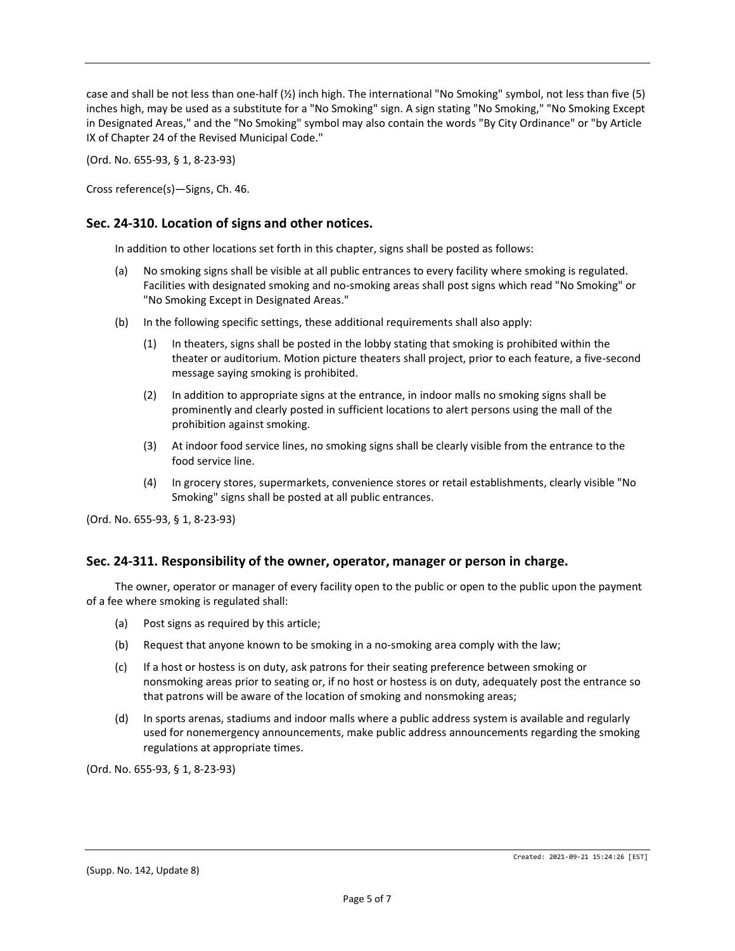case and shall be not less than one-half (½) inch high. The international "No Smoking" symbol, not less than five (5) inches high, may be used as a substitute for a "No Smoking" sign. A sign stating "No Smoking," "No Smoking Except in Designated Areas," and the "No Smoking" symbol may also contain the words "By City Ordinance" or "by Article IX of Chapter 24 of the Revised Municipal Code."

(Ord. No. 655-93, § 1, 8-23-93)

Cross reference(s)—Signs, Ch. 46.

# **Sec. 24-310. Location of signs and other notices.**

In addition to other locations set forth in this chapter, signs shall be posted as follows:

- (a) No smoking signs shall be visible at all public entrances to every facility where smoking is regulated. Facilities with designated smoking and no-smoking areas shall post signs which read "No Smoking" or "No Smoking Except in Designated Areas."
- (b) In the following specific settings, these additional requirements shall also apply:
	- (1) In theaters, signs shall be posted in the lobby stating that smoking is prohibited within the theater or auditorium. Motion picture theaters shall project, prior to each feature, a five-second message saying smoking is prohibited.
	- (2) In addition to appropriate signs at the entrance, in indoor malls no smoking signs shall be prominently and clearly posted in sufficient locations to alert persons using the mall of the prohibition against smoking.
	- (3) At indoor food service lines, no smoking signs shall be clearly visible from the entrance to the food service line.
	- (4) In grocery stores, supermarkets, convenience stores or retail establishments, clearly visible "No Smoking" signs shall be posted at all public entrances.

(Ord. No. 655-93, § 1, 8-23-93)

#### **Sec. 24-311. Responsibility of the owner, operator, manager or person in charge.**

The owner, operator or manager of every facility open to the public or open to the public upon the payment of a fee where smoking is regulated shall:

- (a) Post signs as required by this article;
- (b) Request that anyone known to be smoking in a no-smoking area comply with the law;
- (c) If a host or hostess is on duty, ask patrons for their seating preference between smoking or nonsmoking areas prior to seating or, if no host or hostess is on duty, adequately post the entrance so that patrons will be aware of the location of smoking and nonsmoking areas;
- (d) In sports arenas, stadiums and indoor malls where a public address system is available and regularly used for nonemergency announcements, make public address announcements regarding the smoking regulations at appropriate times.

(Ord. No. 655-93, § 1, 8-23-93)

<sup>(</sup>Supp. No. 142, Update 8)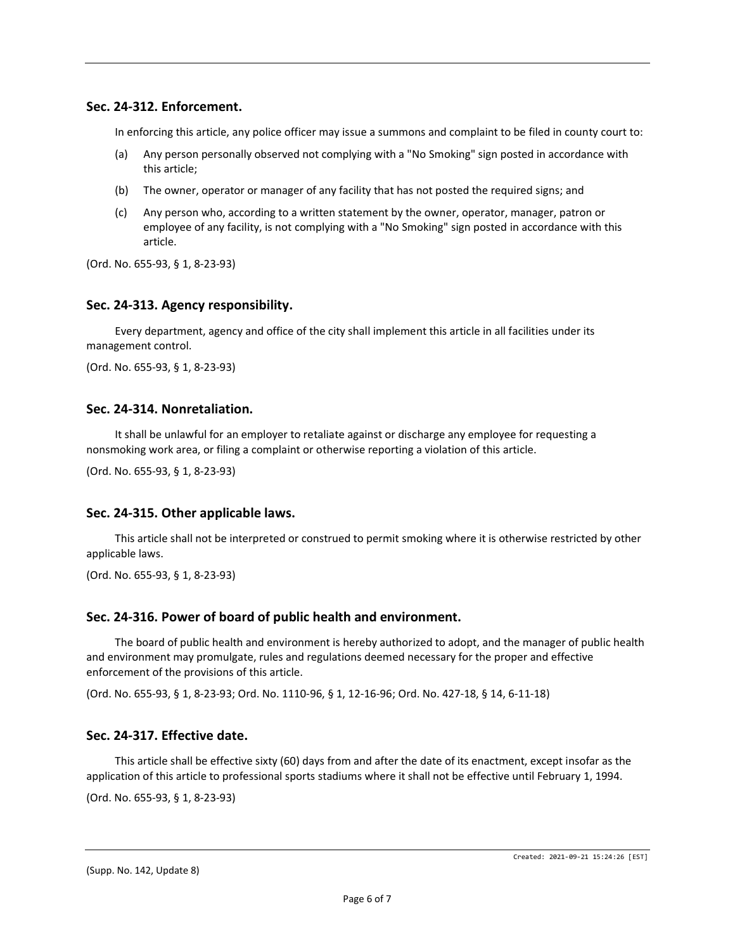# **Sec. 24-312. Enforcement.**

In enforcing this article, any police officer may issue a summons and complaint to be filed in county court to:

- (a) Any person personally observed not complying with a "No Smoking" sign posted in accordance with this article;
- (b) The owner, operator or manager of any facility that has not posted the required signs; and
- (c) Any person who, according to a written statement by the owner, operator, manager, patron or employee of any facility, is not complying with a "No Smoking" sign posted in accordance with this article.

(Ord. No. 655-93, § 1, 8-23-93)

# **Sec. 24-313. Agency responsibility.**

Every department, agency and office of the city shall implement this article in all facilities under its management control.

(Ord. No. 655-93, § 1, 8-23-93)

# **Sec. 24-314. Nonretaliation.**

It shall be unlawful for an employer to retaliate against or discharge any employee for requesting a nonsmoking work area, or filing a complaint or otherwise reporting a violation of this article.

(Ord. No. 655-93, § 1, 8-23-93)

#### **Sec. 24-315. Other applicable laws.**

This article shall not be interpreted or construed to permit smoking where it is otherwise restricted by other applicable laws.

(Ord. No. 655-93, § 1, 8-23-93)

#### **Sec. 24-316. Power of board of public health and environment.**

The board of public health and environment is hereby authorized to adopt, and the manager of public health and environment may promulgate, rules and regulations deemed necessary for the proper and effective enforcement of the provisions of this article.

(Ord. No. 655-93, § 1, 8-23-93; Ord. No. 1110-96, § 1, 12-16-96; Ord. No. 427-18, § 14, 6-11-18)

#### **Sec. 24-317. Effective date.**

This article shall be effective sixty (60) days from and after the date of its enactment, except insofar as the application of this article to professional sports stadiums where it shall not be effective until February 1, 1994.

(Ord. No. 655-93, § 1, 8-23-93)

(Supp. No. 142, Update 8)

Created: 2021-09-21 15:24:26 [EST]